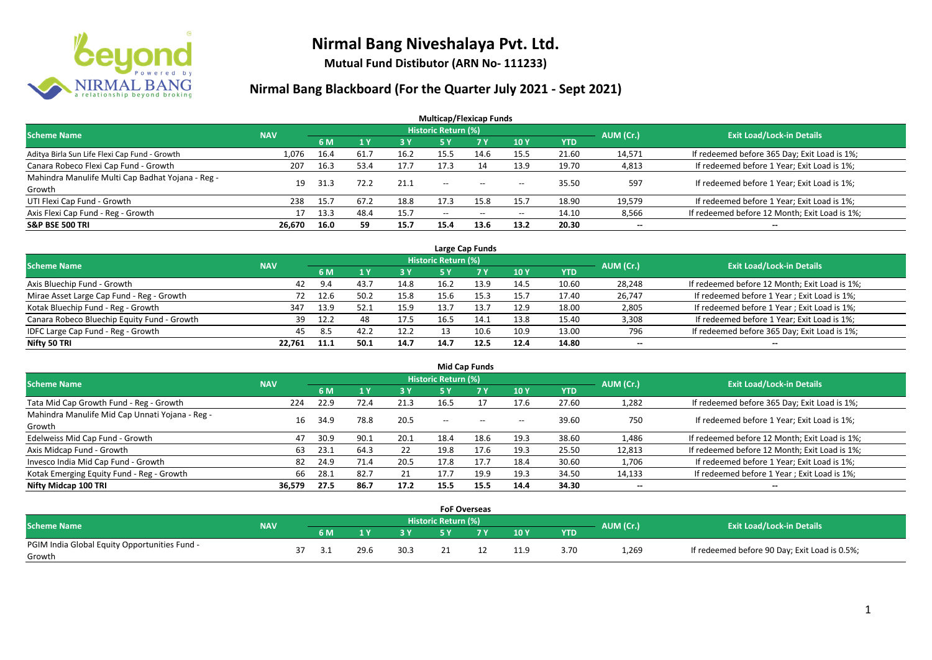

**Mutual Fund Distibutor (ARN No- 111233)**

| <b>Multicap/Flexicap Funds</b>                    |            |      |                |      |                          |                                                |                          |            |                          |                                               |  |  |  |
|---------------------------------------------------|------------|------|----------------|------|--------------------------|------------------------------------------------|--------------------------|------------|--------------------------|-----------------------------------------------|--|--|--|
| <b>Scheme Name</b>                                | <b>NAV</b> |      |                |      | Historic Return (%)      |                                                |                          |            | AUM (Cr.)                | <b>Exit Load/Lock-in Details</b>              |  |  |  |
|                                                   |            | 6 M  | 1 <sub>Y</sub> | 3Y   | <b>5Y</b>                | 7 Y                                            | 10Y                      | <b>YTD</b> |                          |                                               |  |  |  |
| Aditya Birla Sun Life Flexi Cap Fund - Growth     | 1,076      | 16.4 | 61.7           | 16.2 | 15.5                     | 14.6                                           | 15.5                     | 21.60      | 14,571                   | If redeemed before 365 Day; Exit Load is 1%;  |  |  |  |
| Canara Robeco Flexi Cap Fund - Growth             | 207        | 16.3 | 53.4           | 17.7 | 17.3                     | 14                                             | 13.9                     | 19.70      | 4,813                    | If redeemed before 1 Year; Exit Load is 1%;   |  |  |  |
| Mahindra Manulife Multi Cap Badhat Yojana - Reg - | 19         | 31.3 | 72.2           | 21.1 | $- -$                    | $- -$                                          | $- -$                    | 35.50      | 597                      | If redeemed before 1 Year; Exit Load is 1%;   |  |  |  |
| Growth                                            |            |      |                |      |                          |                                                |                          |            |                          |                                               |  |  |  |
| UTI Flexi Cap Fund - Growth                       | 238        | 15.7 | 67.2           | 18.8 | 17.3                     | 15.8                                           | 15.7                     | 18.90      | 19,579                   | If redeemed before 1 Year; Exit Load is 1%;   |  |  |  |
| Axis Flexi Cap Fund - Reg - Growth                | 17         | 13.3 | 48.4           | 15.7 | $\hspace{0.05cm} \ldots$ | $\hspace{0.1mm}-\hspace{0.1mm}-\hspace{0.1mm}$ | $\hspace{0.05cm} \ldots$ | 14.10      | 8,566                    | If redeemed before 12 Month; Exit Load is 1%; |  |  |  |
| <b>S&amp;P BSE 500 TRI</b>                        | 26,670     | 16.0 | 59             | 15.7 | 15.4                     | 13.6                                           | 13.2                     | 20.30      | $\overline{\phantom{a}}$ | $\overline{\phantom{a}}$                      |  |  |  |

| Large Cap Funds                             |            |      |      |           |                            |      |      |            |                          |                                               |  |  |  |  |
|---------------------------------------------|------------|------|------|-----------|----------------------------|------|------|------------|--------------------------|-----------------------------------------------|--|--|--|--|
| Scheme Name                                 | <b>NAV</b> |      |      |           | <b>Historic Return (%)</b> |      |      |            | AUM (Cr.)                | <b>Exit Load/Lock-in Details</b>              |  |  |  |  |
|                                             |            | 6 M  |      | <b>3Y</b> |                            | 7 V  | 10Y  | <b>YTD</b> |                          |                                               |  |  |  |  |
| Axis Bluechip Fund - Growth                 | 42         | 9.4  | 43.7 | 14.8      | 16.2                       | 13.9 | 14.5 | 10.60      | 28,248                   | If redeemed before 12 Month; Exit Load is 1%; |  |  |  |  |
| Mirae Asset Large Cap Fund - Reg - Growth   | 72         | 12.6 | 50.2 | 15.8      | 15.6                       | 15.3 | 15.7 | 17.40      | 26,747                   | If redeemed before 1 Year; Exit Load is 1%;   |  |  |  |  |
| Kotak Bluechip Fund - Reg - Growth          | 347        | 13.9 | 52.1 | 15.9      | 13.7                       | 13.7 | 12.9 | 18.00      | 2,805                    | If redeemed before 1 Year; Exit Load is 1%;   |  |  |  |  |
| Canara Robeco Bluechip Equity Fund - Growth | 39         | 12.2 |      | 17.5      | 16.5                       | 14.1 | 13.8 | 15.40      | 3,308                    | If redeemed before 1 Year; Exit Load is 1%;   |  |  |  |  |
| IDFC Large Cap Fund - Reg - Growth          | 45         | 8.5  | 42.2 | 12.2      |                            | 10.6 | 10.9 | 13.00      | 796                      | If redeemed before 365 Day; Exit Load is 1%;  |  |  |  |  |
| Nifty 50 TRI                                | 22.761     | 11.1 | 50.1 | 14.7      | 14.7                       | 12.5 | 12.4 | 14.80      | $\overline{\phantom{a}}$ | $\overline{\phantom{a}}$                      |  |  |  |  |

| <b>Mid Cap Funds</b>                            |            |           |      |      |                     |       |                          |            |              |                                               |  |  |  |
|-------------------------------------------------|------------|-----------|------|------|---------------------|-------|--------------------------|------------|--------------|-----------------------------------------------|--|--|--|
| <b>Scheme Name</b>                              | <b>NAV</b> |           |      |      | Historic Return (%) |       |                          |            | AUM (Cr.)    | <b>Exit Load/Lock-in Details</b>              |  |  |  |
|                                                 |            | <b>6M</b> |      | 3 Y  | 5 Y                 | - 7 Y | 10Y                      | <b>YTD</b> |              |                                               |  |  |  |
| Tata Mid Cap Growth Fund - Reg - Growth         | 224        | 22.9      | 72.4 | 21.3 | 16.5                |       | 17.6                     | 27.60      | 1,282        | If redeemed before 365 Day; Exit Load is 1%;  |  |  |  |
| Mahindra Manulife Mid Cap Unnati Yojana - Reg - | 16         | 34.9      | 78.8 | 20.5 | $- -$               | $- -$ |                          | 39.60      | 750          | If redeemed before 1 Year; Exit Load is 1%;   |  |  |  |
| Growth                                          |            |           |      |      |                     |       | $\hspace{0.05cm} \ldots$ |            |              |                                               |  |  |  |
| Edelweiss Mid Cap Fund - Growth                 | 47         | 30.9      | 90.1 | 20.1 | 18.4                | 18.6  | 19.3                     | 38.60      | 1,486        | If redeemed before 12 Month; Exit Load is 1%; |  |  |  |
| Axis Midcap Fund - Growth                       | 63         | 23.1      | 64.3 | 22   | 19.8                | 17.6  | 19.3                     | 25.50      | 12,813       | If redeemed before 12 Month; Exit Load is 1%; |  |  |  |
| Invesco India Mid Cap Fund - Growth             | 82         | 24.9      | 71.4 | 20.5 | 17.8                | 17.7  | 18.4                     | 30.60      | 1,706        | If redeemed before 1 Year; Exit Load is 1%;   |  |  |  |
| Kotak Emerging Equity Fund - Reg - Growth       | 66         | 28.1      | 82.7 | 21   | 17.7                | 19.9  | 19.3                     | 34.50      | 14,133       | If redeemed before 1 Year; Exit Load is 1%;   |  |  |  |
| Nifty Midcap 100 TRI                            | 36,579     | 27.5      | 86.7 | 17.2 | 15.5                | 15.5  | 14.4                     | 34.30      | $\mathbf{u}$ | $\overline{\phantom{a}}$                      |  |  |  |

|                                               |            |    |     |      |      | <b>FoF Overseas</b> |     |      |      |           |                                               |
|-----------------------------------------------|------------|----|-----|------|------|---------------------|-----|------|------|-----------|-----------------------------------------------|
| <b>Scheme Name</b>                            | <b>NAV</b> |    |     |      |      | Historic Return (%) |     |      |      | AUM (Cr.) | <b>Exit Load/Lock-in Details</b>              |
|                                               |            |    | 6 M |      | 3 Y  | <b>CV</b>           | 7 V | 10Y  | YTD  |           |                                               |
| PGIM India Global Equity Opportunities Fund - |            | 37 | -21 | 29.6 | 30.3 |                     |     | 11.9 | 3.70 | 1,269     | If redeemed before 90 Day; Exit Load is 0.5%; |
| Growth                                        |            |    |     |      |      |                     |     |      |      |           |                                               |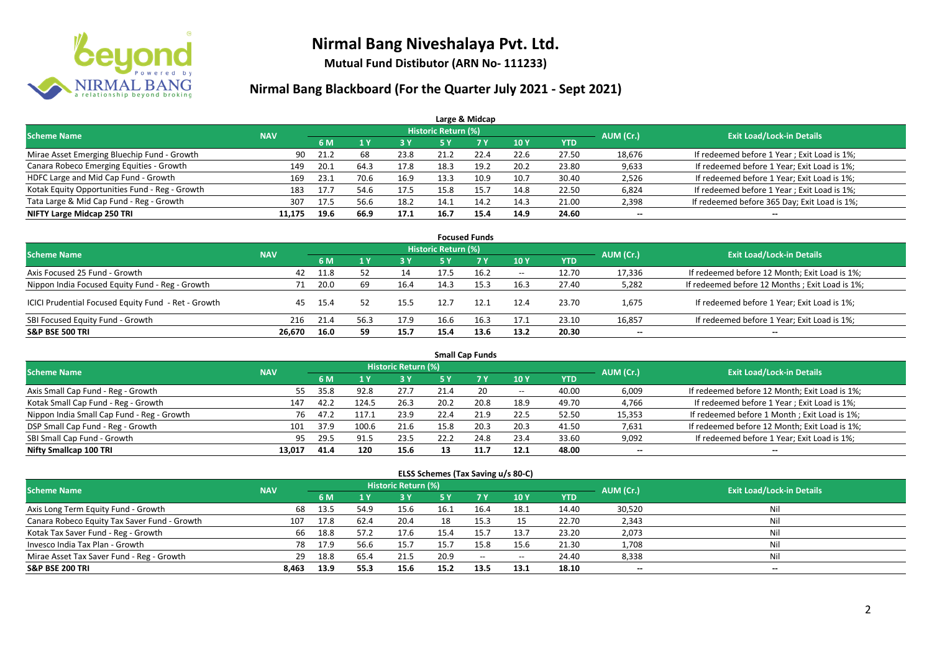

**Mutual Fund Distibutor (ARN No- 111233)**

#### **Nirmal Bang Blackboard (For the Quarter July 2021 - Sept 2021)**

| Large & Midcap                                 |            |      |      |            |                     |      |            |            |                          |                                              |  |  |  |
|------------------------------------------------|------------|------|------|------------|---------------------|------|------------|------------|--------------------------|----------------------------------------------|--|--|--|
| <b>Scheme Name</b>                             | <b>NAV</b> |      |      |            | Historic Return (%) |      |            |            | AUM (Cr.)                | <b>Exit Load/Lock-in Details</b>             |  |  |  |
|                                                |            | 6 M  |      | <b>3 Y</b> | <b>5 Y</b>          | 7 Y  | <b>10Y</b> | <b>YTD</b> |                          |                                              |  |  |  |
| Mirae Asset Emerging Bluechip Fund - Growth    | 90         | 21.2 | 68   | 23.8       | 21.2                | 22.4 | 22.6       | 27.50      | 18,676                   | If redeemed before 1 Year; Exit Load is 1%;  |  |  |  |
| Canara Robeco Emerging Equities - Growth       | 149        | 20.1 | 64.3 | 17.8       | 18.3                | 19.2 | 20.2       | 23.80      | 9,633                    | If redeemed before 1 Year; Exit Load is 1%;  |  |  |  |
| HDFC Large and Mid Cap Fund - Growth           | 169        | 23.1 | 70.6 | 16.9       | 13.3                | 10.9 | 10.7       | 30.40      | 2,526                    | If redeemed before 1 Year; Exit Load is 1%;  |  |  |  |
| Kotak Equity Opportunities Fund - Reg - Growth | 183        | 17.7 | 54.6 | 17.5       | 15.8                | 15.7 | 14.8       | 22.50      | 6,824                    | If redeemed before 1 Year; Exit Load is 1%;  |  |  |  |
| Tata Large & Mid Cap Fund - Reg - Growth       | 307        | 17.5 | 56.6 | 18.2       | 14.1                | 14.2 | 14.3       | 21.00      | 2,398                    | If redeemed before 365 Day; Exit Load is 1%; |  |  |  |
| NIFTY Large Midcap 250 TRI                     | 11.175     | 19.6 | 66.9 | 17.1       | 16.7                | 15.4 | 14.9       | 24.60      | $\overline{\phantom{a}}$ | $\sim$                                       |  |  |  |

| <b>Focused Funds</b>                                |            |      |    |      |                     |           |                          |            |                 |                                                |  |  |  |
|-----------------------------------------------------|------------|------|----|------|---------------------|-----------|--------------------------|------------|-----------------|------------------------------------------------|--|--|--|
| <b>Scheme Name</b>                                  | <b>NAV</b> |      |    |      | Historic Return (%) |           |                          |            | AUM (Cr.)       | <b>Exit Load/Lock-in Details</b>               |  |  |  |
|                                                     |            | 6 M  |    | 3 Y  | 75 Y                | <b>7Y</b> | 10Y                      | <b>YTD</b> |                 |                                                |  |  |  |
| Axis Focused 25 Fund - Growth                       | 42         | 11.8 |    | 14   |                     | 16.2      | $\hspace{0.05cm} \ldots$ | 12.70      | 17,336          | If redeemed before 12 Month; Exit Load is 1%;  |  |  |  |
| Nippon India Focused Equity Fund - Reg - Growth     | 71         | 20.0 | 69 | 16.4 | 14.3                | 15.3      | 16.3                     | 27.40      | 5,282           | If redeemed before 12 Months; Exit Load is 1%; |  |  |  |
| ICICI Prudential Focused Equity Fund - Ret - Growth | 45         | 15.4 |    | 15.5 |                     | 12.1      | 12.4                     | 23.70      | 1,675           | If redeemed before 1 Year; Exit Load is 1%;    |  |  |  |
| SBI Focused Equity Fund - Growth                    | 216        | 21.4 |    | 17.9 | 16.6                | 16.3      | 17.1                     | 23.10      | 16,857          | If redeemed before 1 Year; Exit Load is 1%;    |  |  |  |
| <b>S&amp;P BSE 500 TRI</b>                          | 26,670     | 16.0 | 59 | 15.7 | 15.4                | 13.6      | 13.2                     | 20.30      | $\qquad \qquad$ | $-$                                            |  |  |  |

| <b>Small Cap Funds</b>                     |            |      |       |                            |      |      |                          |            |           |                                               |  |  |  |
|--------------------------------------------|------------|------|-------|----------------------------|------|------|--------------------------|------------|-----------|-----------------------------------------------|--|--|--|
| <b>Scheme Name</b>                         | <b>NAV</b> |      |       | <b>Historic Return (%)</b> |      |      |                          |            | AUM (Cr.) | <b>Exit Load/Lock-in Details</b>              |  |  |  |
|                                            |            | 6 M  |       | 3 Y                        | 5 Y  |      | 10Y                      | <b>YTD</b> |           |                                               |  |  |  |
| Axis Small Cap Fund - Reg - Growth         | 55.        | 35.8 | 92.8  | 27.7                       | 21.4 | 20   | $\hspace{0.05cm} \cdots$ | 40.00      | 6,009     | If redeemed before 12 Month; Exit Load is 1%; |  |  |  |
| Kotak Small Cap Fund - Reg - Growth        | 147        | 42.2 | 124.5 | 26.3                       | 20.2 | 20.8 | 18.9                     | 49.70      | 4,766     | If redeemed before 1 Year; Exit Load is 1%;   |  |  |  |
| Nippon India Small Cap Fund - Reg - Growth | 76         | 47.2 | 117.1 | 23.9                       | 22.4 | 21.9 | 22.5                     | 52.50      | 15,353    | If redeemed before 1 Month; Exit Load is 1%;  |  |  |  |
| DSP Small Cap Fund - Reg - Growth          | 101        | 37.9 | 100.6 | 21.6                       | 15.8 | 20.3 | 20.3                     | 41.50      | 7,631     | If redeemed before 12 Month; Exit Load is 1%; |  |  |  |
| SBI Small Cap Fund - Growth                | 95         | 29.5 | 91.5  | 23.5                       | 22.2 | 24.8 | 23.4                     | 33.60      | 9,092     | If redeemed before 1 Year; Exit Load is 1%;   |  |  |  |
| Nifty Smallcap 100 TRI                     | 13,017     | 41.4 | 120   | 15.6                       | 13   | 11.7 | 12.1                     | 48.00      | $- -$     | $- -$                                         |  |  |  |

#### **ELSS Schemes (Tax Saving u/s 80-C)**

| <b>Scheme Name</b>                           | <b>NAV</b> |      |      | <b>Historic Return (%)</b> |      |       |                          |            | AUM (Cr.)                | <b>Exit Load/Lock-in Details</b> |
|----------------------------------------------|------------|------|------|----------------------------|------|-------|--------------------------|------------|--------------------------|----------------------------------|
|                                              |            | 6 M  |      | 3 Y                        | 5 Y  |       | 10Y                      | <b>YTD</b> |                          |                                  |
| Axis Long Term Equity Fund - Growth          | 68         | 13.5 | 54.9 | 15.6                       | 16.1 | 16.4  | 18.1                     | 14.40      | 30,520                   | Nil                              |
| Canara Robeco Equity Tax Saver Fund - Growth | 107        | 17.8 | 62.4 | 20.4                       | 18   | 15.3  | 15                       | 22.70      | 2,343                    | Nil                              |
| Kotak Tax Saver Fund - Reg - Growth          | 66         | 18.8 | 57.2 | 17.6                       | 15.4 | 15.7  | 13.7                     | 23.20      | 2,073                    | Nil                              |
| Invesco India Tax Plan - Growth              | 78         | 17.9 | 56.6 | 15.7                       | 15.7 | 15.8  | 15.6                     | 21.30      | 1,708                    | Nil                              |
| Mirae Asset Tax Saver Fund - Reg - Growth    | 29         | 18.8 | 65.4 | 21.5                       | 20.9 | $- -$ | $\hspace{0.05cm} \ldots$ | 24.40      | 8,338                    | Nil                              |
| <b>S&amp;P BSE 200 TRI</b>                   | 8.463      | 13.9 | 55.3 | 15.6                       | 15.2 | 13.5  | 13.1                     | 18.10      | $\overline{\phantom{a}}$ | $\sim$                           |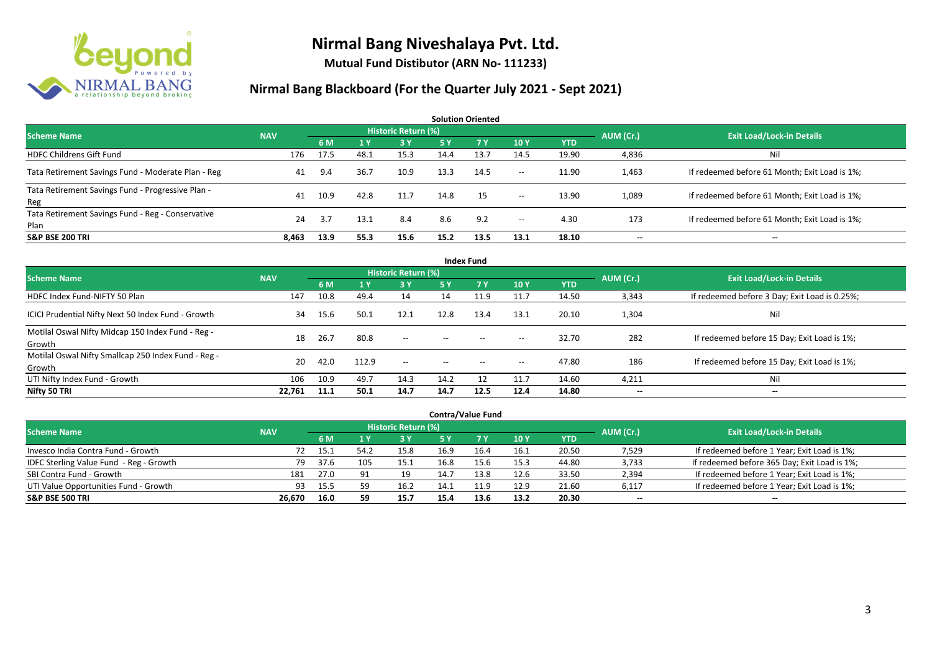

**Mutual Fund Distibutor (ARN No- 111233)**

| <b>Solution Oriented</b>                                  |            |      |      |                     |      |      |                          |            |                   |                                               |  |  |
|-----------------------------------------------------------|------------|------|------|---------------------|------|------|--------------------------|------------|-------------------|-----------------------------------------------|--|--|
| <b>Scheme Name</b>                                        | <b>NAV</b> |      |      | Historic Return (%) |      |      |                          |            | AUM (Cr.)         | <b>Exit Load/Lock-in Details</b>              |  |  |
|                                                           |            | 6 M  | 1 Y  | <b>3Y</b>           | 5 Y  | 7 Y. | 10Y                      | <b>YTD</b> |                   |                                               |  |  |
| <b>HDFC Childrens Gift Fund</b>                           | 176        | 17.5 | 48.1 | 15.3                | 14.4 | 13.7 | 14.5                     | 19.90      | 4,836             | Nil                                           |  |  |
| Tata Retirement Savings Fund - Moderate Plan - Reg        | 41         | 9.4  | 36.7 | 10.9                | 13.3 | 14.5 | $--$                     | 11.90      | 1,463             | If redeemed before 61 Month; Exit Load is 1%; |  |  |
| Tata Retirement Savings Fund - Progressive Plan -<br>Reg  | 41         | 10.9 | 42.8 | 11.7                | 14.8 | 15   | $- -$                    | 13.90      | 1,089             | If redeemed before 61 Month; Exit Load is 1%; |  |  |
| Tata Retirement Savings Fund - Reg - Conservative<br>Plan | 24         | -3.7 | 13.1 | 8.4                 | 8.6  | 9.2  | $\hspace{0.05cm} \ldots$ | 4.30       | 173               | If redeemed before 61 Month; Exit Load is 1%; |  |  |
| <b>S&amp;P BSE 200 TRI</b>                                | 8.463      | 13.9 | 55.3 | 15.6                | 15.2 | 13.5 | 13.1                     | 18.10      | $\hspace{0.05cm}$ | $\qquad \qquad$                               |  |  |

| <b>Index Fund</b>                                             |            |      |       |                            |                          |      |                          |            |                          |                                               |  |  |  |
|---------------------------------------------------------------|------------|------|-------|----------------------------|--------------------------|------|--------------------------|------------|--------------------------|-----------------------------------------------|--|--|--|
| <b>Scheme Name</b>                                            | <b>NAV</b> |      |       | <b>Historic Return (%)</b> |                          |      |                          |            | AUM (Cr.)                | <b>Exit Load/Lock-in Details</b>              |  |  |  |
|                                                               |            | 6 M  |       | 3Y                         | <b>5Y</b>                | 7 Y  | 10 Y                     | <b>YTD</b> |                          |                                               |  |  |  |
| HDFC Index Fund-NIFTY 50 Plan                                 | 147        | 10.8 | 49.4  | 14                         | 14                       | 11.9 | 11.7                     | 14.50      | 3,343                    | If redeemed before 3 Day; Exit Load is 0.25%; |  |  |  |
| ICICI Prudential Nifty Next 50 Index Fund - Growth            | 34         | 15.6 | 50.1  | 12.1                       | 12.8                     | 13.4 | 13.1                     | 20.10      | 1,304                    | Nil                                           |  |  |  |
| Motilal Oswal Nifty Midcap 150 Index Fund - Reg -<br>Growth   | 18         | 26.7 | 80.8  | $- -$                      | $\overline{\phantom{a}}$ |      | $\hspace{0.05cm} \cdots$ | 32.70      | 282                      | If redeemed before 15 Day; Exit Load is 1%;   |  |  |  |
| Motilal Oswal Nifty Smallcap 250 Index Fund - Reg -<br>Growth | 20         | 42.0 | 112.9 | $--$                       | $\hspace{0.05cm} \ldots$ |      | $\hspace{0.05cm} \cdots$ | 47.80      | 186                      | If redeemed before 15 Day; Exit Load is 1%;   |  |  |  |
| UTI Nifty Index Fund - Growth                                 | 106        | 10.9 | 49.7  | 14.3                       | 14.2                     | 12   | 11.7                     | 14.60      | 4,211                    | Nil                                           |  |  |  |
| Nifty 50 TRI                                                  | 22,761     | 11.1 | 50.1  | 14.7                       | 14.7                     | 12.5 | 12.4                     | 14.80      | $\hspace{0.05cm} \cdots$ | $\overline{\phantom{a}}$                      |  |  |  |

| <b>Contra/Value Fund</b>                |            |      |                |                     |      |      |      |            |           |                                              |  |  |  |
|-----------------------------------------|------------|------|----------------|---------------------|------|------|------|------------|-----------|----------------------------------------------|--|--|--|
| <b>Scheme Name</b>                      | <b>NAV</b> |      |                | Historic Return (%) |      |      |      |            | AUM (Cr.) | <b>Exit Load/Lock-in Details</b>             |  |  |  |
|                                         |            | 6 M  |                | 3Y                  |      |      | 10Y  | <b>YTD</b> |           |                                              |  |  |  |
| Invesco India Contra Fund - Growth      | 72         | ذ.15 | 54.            | 15.8                | 16.9 | 16.4 | 16.1 | 20.50      | 7,529     | If redeemed before 1 Year; Exit Load is 1%;  |  |  |  |
| IDFC Sterling Value Fund - Reg - Growth | 79         | 37.6 | 105            | 15.1                | 16.8 | 15.6 | 15.3 | 44.80      | 3,733     | If redeemed before 365 Day; Exit Load is 1%; |  |  |  |
| SBI Contra Fund - Growth                | 181        | 27.0 | Q <sub>1</sub> | 19                  | 14.7 | 13.8 | 12.6 | 33.50      | 2,394     | If redeemed before 1 Year; Exit Load is 1%;  |  |  |  |
| UTI Value Opportunities Fund - Growth   | 93         | 15.5 | 59             | 16.2                | 14.1 |      | 12.9 | 21.60      | 6,117     | If redeemed before 1 Year; Exit Load is 1%;  |  |  |  |
| <b>S&amp;P BSE 500 TRI</b>              | 26.670     | 16.0 | 59             | 15.7                | 15.4 | 13.6 | 13.2 | 20.30      | $\sim$    | $\sim$                                       |  |  |  |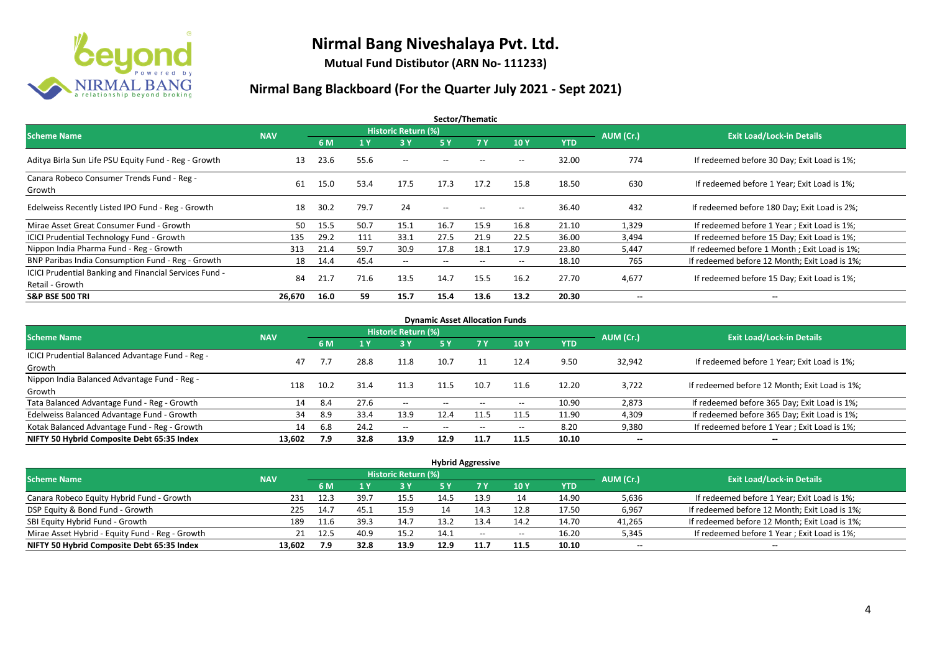

**Mutual Fund Distibutor (ARN No- 111233)**

| Sector/Thematic                                        |            |      |      |                            |                          |                          |                                                     |            |                          |                                               |  |  |  |
|--------------------------------------------------------|------------|------|------|----------------------------|--------------------------|--------------------------|-----------------------------------------------------|------------|--------------------------|-----------------------------------------------|--|--|--|
| <b>Scheme Name</b>                                     | <b>NAV</b> |      |      | <b>Historic Return (%)</b> |                          |                          |                                                     |            | AUM (Cr.)                | <b>Exit Load/Lock-in Details</b>              |  |  |  |
|                                                        |            | 6 M  | 1 Y  | 3 Y                        | 5 Y                      | <b>7Y</b>                | 10Y                                                 | <b>YTD</b> |                          |                                               |  |  |  |
| Aditya Birla Sun Life PSU Equity Fund - Reg - Growth   | 13         | 23.6 | 55.6 | $\hspace{0.05cm} \ldots$   |                          |                          | $-$                                                 | 32.00      | 774                      | If redeemed before 30 Day; Exit Load is 1%;   |  |  |  |
| Canara Robeco Consumer Trends Fund - Reg -<br>Growth   | 61         | 15.0 | 53.4 | 17.5                       | 17.3                     | 17.2                     | 15.8                                                | 18.50      | 630                      | If redeemed before 1 Year; Exit Load is 1%;   |  |  |  |
| Edelweiss Recently Listed IPO Fund - Reg - Growth      | 18         | 30.2 | 79.7 | 24                         | $\hspace{0.05cm} \ldots$ | $-$                      | $-$                                                 | 36.40      | 432                      | If redeemed before 180 Day; Exit Load is 2%;  |  |  |  |
| Mirae Asset Great Consumer Fund - Growth               | 50         | 15.5 | 50.7 | 15.1                       | 16.7                     | 15.9                     | 16.8                                                | 21.10      | 1,329                    | If redeemed before 1 Year; Exit Load is 1%;   |  |  |  |
| <b>ICICI Prudential Technology Fund - Growth</b>       | 135        | 29.2 | 111  | 33.1                       | 27.5                     | 21.9                     | 22.5                                                | 36.00      | 3,494                    | If redeemed before 15 Day; Exit Load is 1%;   |  |  |  |
| Nippon India Pharma Fund - Reg - Growth                | 313        | 21.4 | 59.7 | 30.9                       | 17.8                     | 18.1                     | 17.9                                                | 23.80      | 5,447                    | If redeemed before 1 Month; Exit Load is 1%;  |  |  |  |
| BNP Paribas India Consumption Fund - Reg - Growth      | 18         | 14.4 | 45.4 | $- -$                      | $\hspace{0.05cm} \ldots$ | $\hspace{0.05cm} \ldots$ | $\hspace{0.05cm} -\hspace{0.05cm} -\hspace{0.05cm}$ | 18.10      | 765                      | If redeemed before 12 Month; Exit Load is 1%; |  |  |  |
| ICICI Prudential Banking and Financial Services Fund - |            |      |      |                            | 14.7                     |                          |                                                     |            |                          |                                               |  |  |  |
| Retail - Growth                                        | 84         | 21.7 | 71.6 | 13.5                       |                          | 15.5                     | 16.2                                                | 27.70      | 4,677                    | If redeemed before 15 Day; Exit Load is 1%;   |  |  |  |
| <b>S&amp;P BSE 500 TRI</b>                             | 26,670     | 16.0 | 59   | 15.7                       | 15.4                     | 13.6                     | 13.2                                                | 20.30      | $\overline{\phantom{a}}$ | $\overline{\phantom{m}}$                      |  |  |  |

| <b>Dynamic Asset Allocation Funds</b>                      |            |      |      |                            |                          |                          |                          |            |                          |                                               |  |  |  |
|------------------------------------------------------------|------------|------|------|----------------------------|--------------------------|--------------------------|--------------------------|------------|--------------------------|-----------------------------------------------|--|--|--|
| <b>Scheme Name</b>                                         | <b>NAV</b> |      |      | <b>Historic Return (%)</b> |                          |                          |                          |            | AUM (Cr.)                | <b>Exit Load/Lock-in Details</b>              |  |  |  |
|                                                            |            | 6 M  |      | 3 Y                        | <b>5 Y</b>               | <b>77V</b>               | <b>10Y</b>               | <b>YTD</b> |                          |                                               |  |  |  |
| ICICI Prudential Balanced Advantage Fund - Reg -<br>Growth | 47         | 7.7  | 28.8 | 11.8                       | 10.7                     | 11                       | 12.4                     | 9.50       | 32,942                   | If redeemed before 1 Year; Exit Load is 1%;   |  |  |  |
| Nippon India Balanced Advantage Fund - Reg -<br>Growth     | 118        | 10.2 | 31.4 | 11.3                       | 11.5                     | 10.7                     | 11.6                     | 12.20      | 3,722                    | If redeemed before 12 Month; Exit Load is 1%; |  |  |  |
| Tata Balanced Advantage Fund - Reg - Growth                | 14         | 8.4  | 27.6 | $- -$                      |                          |                          | $\overline{\phantom{a}}$ | 10.90      | 2,873                    | If redeemed before 365 Day; Exit Load is 1%;  |  |  |  |
| Edelweiss Balanced Advantage Fund - Growth                 | 34         | 8.9  | 33.4 | 13.9                       | 12.4                     |                          | 11.5                     | 11.90      | 4,309                    | If redeemed before 365 Day; Exit Load is 1%;  |  |  |  |
| Kotak Balanced Advantage Fund - Reg - Growth               | 14         | 6.8  | 24.2 | $- -$                      | $\overline{\phantom{a}}$ | $\hspace{0.05cm} \ldots$ | $- -$                    | 8.20       | 9,380                    | If redeemed before 1 Year; Exit Load is 1%;   |  |  |  |
| NIFTY 50 Hybrid Composite Debt 65:35 Index                 | 13,602     | 7.9  | 32.8 | 13.9                       | 12.9                     | 11.7                     | 11.5                     | 10.10      | $\overline{\phantom{a}}$ | $\overline{\phantom{a}}$                      |  |  |  |

|                                                 |            |      |      |                            |      | <b>Hybrid Aggressive</b> |                          |            |                          |                                               |
|-------------------------------------------------|------------|------|------|----------------------------|------|--------------------------|--------------------------|------------|--------------------------|-----------------------------------------------|
| <b>Scheme Name</b>                              | <b>NAV</b> |      |      | <b>Historic Return (%)</b> |      |                          |                          |            | AUM (Cr.)                | <b>Exit Load/Lock-in Details</b>              |
|                                                 |            | 6 M  |      | 73 Y.                      | 5 Y  |                          | 10Y                      | <b>YTD</b> |                          |                                               |
| Canara Robeco Equity Hybrid Fund - Growth       | 231        | 12.3 | 39.7 | 15.5                       | 14.5 | 13.9                     |                          | 14.90      | 5,636                    | If redeemed before 1 Year; Exit Load is 1%;   |
| DSP Equity & Bond Fund - Growth                 | 225        | 14.7 | 45.1 | 15.9                       |      | 14.3                     | 12.8                     | 17.50      | 6,967                    | If redeemed before 12 Month; Exit Load is 1%; |
| SBI Equity Hybrid Fund - Growth                 | 189        | 11.6 | 39.3 | 14.7                       | 13.2 | 13.4                     | 14.2                     | 14.70      | 41,265                   | If redeemed before 12 Month; Exit Load is 1%; |
| Mirae Asset Hybrid - Equity Fund - Reg - Growth | 21         | 12.5 | 40.9 | 15.2                       | 14.1 | $- -$                    | $\overline{\phantom{a}}$ | 16.20      | 5,345                    | If redeemed before 1 Year; Exit Load is 1%;   |
| NIFTY 50 Hybrid Composite Debt 65:35 Index      | 13,602     | 7.9  | 32.8 | 13.9                       | 12.9 | 11.7                     | 11.5                     | 10.10      | $\overline{\phantom{a}}$ | $\overline{\phantom{a}}$                      |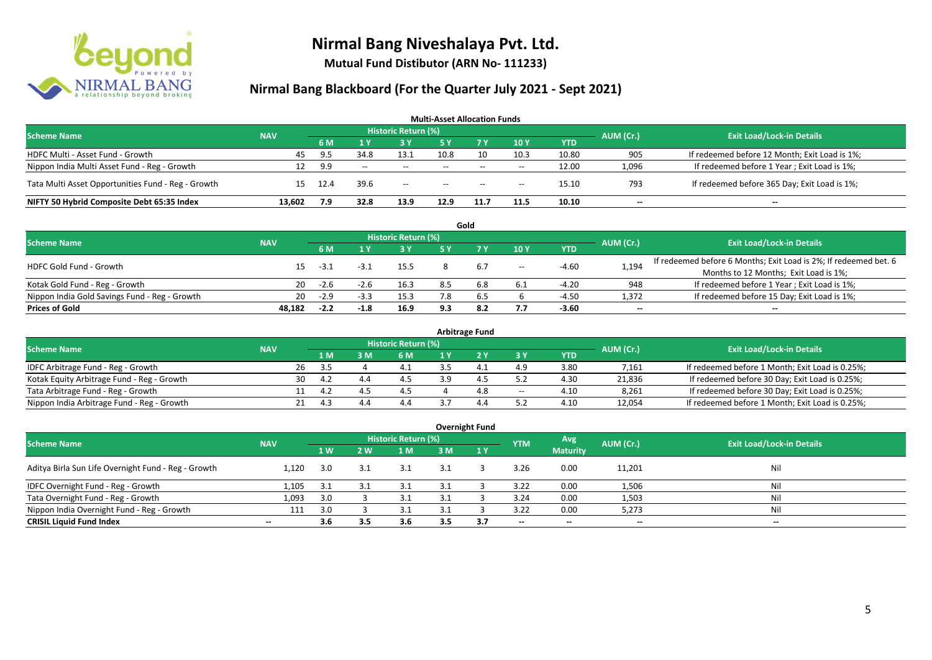

**Mutual Fund Distibutor (ARN No- 111233)**

| <b>Scheme Name</b>                                 | <b>NAV</b> |      |      | <b>Historic Return (%)</b> |                          |       |       |            | AUM (Cr.) | <b>Exit Load/Lock-in Details</b>              |
|----------------------------------------------------|------------|------|------|----------------------------|--------------------------|-------|-------|------------|-----------|-----------------------------------------------|
|                                                    |            | 6 M  |      | <b>3 Y</b>                 |                          |       | 10Y   | <b>YTD</b> |           |                                               |
| HDFC Multi - Asset Fund - Growth                   | 45         | 9.5  | 34.8 | 13.1                       | 10.8                     | 10    | 10.3  | 10.80      | 905       | If redeemed before 12 Month; Exit Load is 1%; |
| Nippon India Multi Asset Fund - Reg - Growth       |            | 9.9  | $-$  | $- -$                      | $- -$                    | $-$   | $- -$ | 12.00      | 1,096     | If redeemed before 1 Year; Exit Load is 1%;   |
| Tata Multi Asset Opportunities Fund - Reg - Growth | 15.        | 12.4 | 39.6 | $- -$                      | $\hspace{0.05cm} \ldots$ | $- -$ | $- -$ | 15.10      | 793       | If redeemed before 365 Day; Exit Load is 1%;  |
| NIFTY 50 Hybrid Composite Debt 65:35 Index         | 13.602     | 7.9  | 32.8 | 13.9                       | 12.9                     | 11.7  | 11.5  | 10.10      | --        | $\sim$                                        |

|                                               |            |        |        |                     |     | Gold |                          |            |                          |                                                                                                           |
|-----------------------------------------------|------------|--------|--------|---------------------|-----|------|--------------------------|------------|--------------------------|-----------------------------------------------------------------------------------------------------------|
| <b>Scheme Name</b>                            | <b>NAV</b> |        |        | Historic Return (%) |     |      |                          |            | AUM (Cr.)                | <b>Exit Load/Lock-in Details</b>                                                                          |
|                                               |            | 6 M    |        | <b>3 Y</b>          | ς γ |      | 10Y                      | <b>YTD</b> |                          |                                                                                                           |
| <b>HDFC Gold Fund - Growth</b>                |            | -3.1   | $-3.1$ | 15.5                |     | 6.7  | $\hspace{0.05cm} \dashv$ | $-4.60$    | 1,194                    | If redeemed before 6 Months; Exit Load is 2%; If redeemed bet. 6<br>Months to 12 Months; Exit Load is 1%; |
| Kotak Gold Fund - Reg - Growth                | 20         | $-2.6$ | -2.u   | 16.3                | 8.5 | 6.8  | 6.1                      | $-4.20$    | 948                      | If redeemed before 1 Year; Exit Load is 1%;                                                               |
| Nippon India Gold Savings Fund - Reg - Growth | 20         | $-2.9$ | $-3.3$ | 15.3                | 7.8 | 6.5  |                          | -4.50      | 1,372                    | If redeemed before 15 Day; Exit Load is 1%;                                                               |
| <b>Prices of Gold</b>                         | 48.182     | $-2.2$ | -1.8   | 16.9                | 9.3 | 8.2  | 7.7                      | $-3.60$    | $\overline{\phantom{a}}$ | $\overline{\phantom{a}}$                                                                                  |

| <b>Arbitrage Fund</b>                      |            |    |     |     |                            |  |     |                          |            |           |                                                 |  |  |  |
|--------------------------------------------|------------|----|-----|-----|----------------------------|--|-----|--------------------------|------------|-----------|-------------------------------------------------|--|--|--|
| <b>Scheme Name</b>                         | <b>NAV</b> |    |     |     | <b>Historic Return (%)</b> |  |     |                          |            | AUM (Cr.) | <b>Exit Load/Lock-in Details</b>                |  |  |  |
|                                            |            |    | 1 M | 3 M | 6 M                        |  |     | 3 Y                      | <b>YTD</b> |           |                                                 |  |  |  |
| IDFC Arbitrage Fund - Reg - Growth         |            | 26 | -35 |     |                            |  |     | 4.9                      | 3.80       | 7,161     | If redeemed before 1 Month; Exit Load is 0.25%; |  |  |  |
| Kotak Equity Arbitrage Fund - Reg - Growth |            | 30 | 4.2 |     |                            |  |     | 57                       | 4.30       | 21,836    | If redeemed before 30 Day; Exit Load is 0.25%;  |  |  |  |
| Tata Arbitrage Fund - Reg - Growth         |            |    | 4.2 |     |                            |  | 4.8 | $\hspace{0.05cm} \ldots$ | 4.10       | 8,261     | If redeemed before 30 Day; Exit Load is 0.25%;  |  |  |  |
| Nippon India Arbitrage Fund - Reg - Growth |            |    | ⊿ ⊣ | 4.4 | 4.4                        |  | 4.4 | ヒフ                       | 4.10       | 12,054    | If redeemed before 1 Month; Exit Load is 0.25%; |  |  |  |

|                                                     |            |                   |     |                            |     | <b>Overnight Fund</b> |                          |                 |           |                                  |
|-----------------------------------------------------|------------|-------------------|-----|----------------------------|-----|-----------------------|--------------------------|-----------------|-----------|----------------------------------|
| <b>Scheme Name</b>                                  | <b>NAV</b> |                   |     | <b>Historic Return (%)</b> |     |                       | <b>YTM</b>               | Avg             | AUM (Cr.) | <b>Exit Load/Lock-in Details</b> |
|                                                     |            | $1 \, \mathrm{W}$ | 2 W | 1 M                        | 3 M | 1Y                    |                          | <b>Maturity</b> |           |                                  |
| Aditya Birla Sun Life Overnight Fund - Reg - Growth | 1.120      | 3.0               | 3.1 | 3.1                        | 3.1 |                       | 3.26                     | 0.00            | 11,201    | Nil                              |
| IDFC Overnight Fund - Reg - Growth                  | 1,105      | 3.1               |     | 3.1                        |     |                       | 3.22                     | 0.00            | 1,506     | Nil                              |
| Tata Overnight Fund - Reg - Growth                  | 1,093      | 3.0               |     |                            |     |                       | 3.24                     | 0.00            | 1,503     | Nil                              |
| Nippon India Overnight Fund - Reg - Growth          | 111        | 3.0               |     | 3.1                        |     |                       | 3.22                     | 0.00            | 5,273     | Nil                              |
| <b>CRISIL Liquid Fund Index</b>                     | $\sim$     | 3.6               | 3.5 | 3.6                        | 3.5 | 3.7                   | $\overline{\phantom{a}}$ | $- -$           | $- -$     | $\hspace{0.05cm}$                |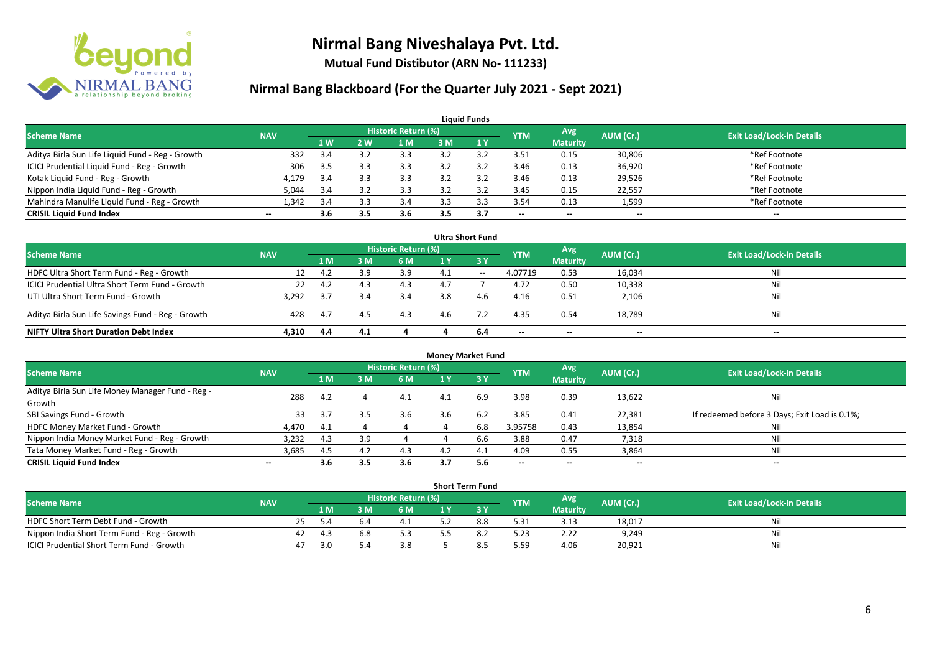

**Mutual Fund Distibutor (ARN No- 111233)**

| <b>Liquid Funds</b>                              |                          |           |     |                            |     |     |                          |                 |              |                                                |  |  |  |
|--------------------------------------------------|--------------------------|-----------|-----|----------------------------|-----|-----|--------------------------|-----------------|--------------|------------------------------------------------|--|--|--|
| <b>Scheme Name</b>                               | <b>NAV</b>               |           |     | <b>Historic Return (%)</b> |     |     | <b>YTM</b>               | Avg             | AUM (Cr.)    | <b>Exit Load/Lock-in Details</b>               |  |  |  |
|                                                  |                          | <b>1W</b> | 2 W | 1 M                        | 3 M |     |                          | <b>Maturity</b> |              |                                                |  |  |  |
| Aditya Birla Sun Life Liquid Fund - Reg - Growth | 332                      | 3.4       |     | 3.3                        |     |     | 3.51                     | 0.15            | 30,806       | *Ref Footnote                                  |  |  |  |
| ICICI Prudential Liquid Fund - Reg - Growth      | 306                      | -3.5      |     | 3.3                        |     |     | 3.46                     | 0.13            | 36,920       | *Ref Footnote                                  |  |  |  |
| Kotak Liquid Fund - Reg - Growth                 | 4,179                    | 3.4       |     | 3.3                        |     |     | 3.46                     | 0.13            | 29,526       | *Ref Footnote                                  |  |  |  |
| Nippon India Liquid Fund - Reg - Growth          | 5.044                    | 3.4       |     | 3.3                        |     |     | 3.45                     | 0.15            | 22,557       | *Ref Footnote                                  |  |  |  |
| Mahindra Manulife Liquid Fund - Reg - Growth     | 1,342                    | 3.4       |     | 3.4                        |     |     | 3.54                     | 0.13            | 1,599        | *Ref Footnote                                  |  |  |  |
| <b>CRISIL Liquid Fund Index</b>                  | $\overline{\phantom{a}}$ | 3.6       | 3.5 | 3.6                        | 3.5 | 3.7 | $\overline{\phantom{a}}$ | $\sim$          | $\mathbf{u}$ | $\hspace{0.1mm}-\hspace{0.1mm}-\hspace{0.1mm}$ |  |  |  |

|                                                   |            |     |     |                     |     | <b>Ultra Short Fund</b> |                          |                          |              |                                  |
|---------------------------------------------------|------------|-----|-----|---------------------|-----|-------------------------|--------------------------|--------------------------|--------------|----------------------------------|
| Scheme Name                                       | <b>NAV</b> |     |     | Historic Return (%) |     |                         | <b>YTM</b>               | Avg                      | AUM (Cr.)    | <b>Exit Load/Lock-in Details</b> |
|                                                   |            | 1 M | : M | 6 M                 |     | 3 Y                     |                          | <b>Maturity</b>          |              |                                  |
| HDFC Ultra Short Term Fund - Reg - Growth         | 12         | 4.2 | ιq  | 3.9                 | 4.1 | $-$                     | 4.07719                  | 0.53                     | 16,034       | Ni                               |
| ICICI Prudential Ultra Short Term Fund - Growth   | 22         | 4.2 |     | 4.3                 | 4.7 |                         | 4.72                     | 0.50                     | 10,338       | Ni                               |
| UTI Ultra Short Term Fund - Growth                | 3.292      |     |     | 3.4                 | 3.8 | 46 F                    | 4.16                     | 0.51                     | 2,106        | Ni                               |
| Aditya Birla Sun Life Savings Fund - Reg - Growth | 428        | 4.7 |     | 4.3                 | 4.6 |                         | 4.35                     | 0.54                     | 18,789       | Nil                              |
| <b>NIFTY Ultra Short Duration Debt Index</b>      | 4,310      | 4.4 | 4.1 |                     |     | 6.4                     | $\overline{\phantom{a}}$ | $\overline{\phantom{a}}$ | $\mathbf{u}$ | $\sim$                           |

|                                                  |            |      |     |                            | <b>Money Market Fund</b> |           |                          |                 |                                                |                                               |
|--------------------------------------------------|------------|------|-----|----------------------------|--------------------------|-----------|--------------------------|-----------------|------------------------------------------------|-----------------------------------------------|
| <b>Scheme Name</b>                               | <b>NAV</b> |      |     | <b>Historic Return (%)</b> |                          |           | <b>YTM</b>               | Avg             | AUM (Cr.)                                      | <b>Exit Load/Lock-in Details</b>              |
|                                                  |            | 1 M  | 3 M | 6 M                        |                          | <b>3Y</b> |                          | <b>Maturity</b> |                                                |                                               |
| Aditya Birla Sun Life Money Manager Fund - Reg - | 288        | 4.2  |     | 4.1                        | 4.1                      | 6.9       | 3.98                     | 0.39            | 13,622                                         | Nil                                           |
| Growth                                           |            |      |     |                            |                          |           |                          |                 |                                                |                                               |
| SBI Savings Fund - Growth                        | 33         | 3.7  |     | 3.6                        | 3.6                      | 6.2       | 3.85                     | 0.41            | 22,381                                         | If redeemed before 3 Days; Exit Load is 0.1%; |
| HDFC Money Market Fund - Growth                  | 4.470      | -4.1 |     |                            |                          | 6.8       | 3.95758                  | 0.43            | 13,854                                         | Nil                                           |
| Nippon India Money Market Fund - Reg - Growth    | 3,232      | 4.3  | 3.9 |                            |                          | 6.6       | 3.88                     | 0.47            | 7,318                                          | Nil                                           |
| Tata Money Market Fund - Reg - Growth            | 3,685      | -4.5 | 4.2 | 4.3                        | 4.2                      | - 4.      | 4.09                     | 0.55            | 3,864                                          | Nil                                           |
| <b>CRISIL Liquid Fund Index</b>                  | $\sim$     | 3.6  | 3.5 | 3.6                        | 3.7                      | 5.6       | $\overline{\phantom{a}}$ | $\sim$          | $\hspace{0.1mm}-\hspace{0.1mm}-\hspace{0.1mm}$ | $\mathbf{m}$                                  |

| <b>Short Term Fund</b>                           |            |    |       |  |                                  |  |  |            |                 |           |                                  |  |  |
|--------------------------------------------------|------------|----|-------|--|----------------------------------|--|--|------------|-----------------|-----------|----------------------------------|--|--|
| <b>Scheme Name</b>                               | <b>NAV</b> |    |       |  | Historic Return (%) <sup> </sup> |  |  | <b>YTM</b> | Avg             | AUM (Cr.) | <b>Exit Load/Lock-in Details</b> |  |  |
|                                                  |            |    | 1 M I |  | 6 M                              |  |  |            | <b>Maturity</b> |           |                                  |  |  |
| HDFC Short Term Debt Fund - Growth               |            |    |       |  |                                  |  |  | 5.31       | 3.13            | 18.017    | Ni                               |  |  |
| Nippon India Short Term Fund - Reg - Growth      |            | 42 | -4.3  |  | 5.3                              |  |  | 5.23       | 2.22            | 9,249     | Nil                              |  |  |
| <b>ICICI Prudential Short Term Fund - Growth</b> |            |    | 3 O   |  | 3.8                              |  |  | 5.59       | 4.06            | 20,921    | Nii                              |  |  |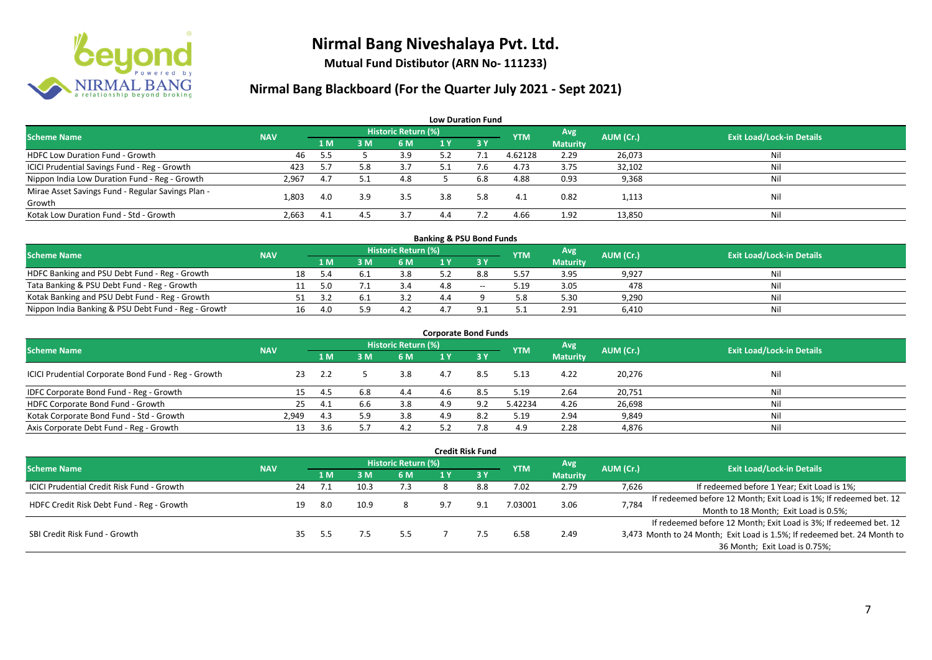

**Mutual Fund Distibutor (ARN No- 111233)**

| <b>Low Duration Fund</b>                          |            |      |     |                     |     |                  |            |                 |           |                                  |  |  |  |
|---------------------------------------------------|------------|------|-----|---------------------|-----|------------------|------------|-----------------|-----------|----------------------------------|--|--|--|
| <b>Scheme Name</b>                                | <b>NAV</b> |      |     | Historic Return (%) |     |                  | <b>YTM</b> | Avg             | AUM (Cr.) | <b>Exit Load/Lock-in Details</b> |  |  |  |
|                                                   |            | 1 M  | 3 M | 6 M                 | 1 Y | $\overline{3}$ Y |            | <b>Maturity</b> |           |                                  |  |  |  |
| HDFC Low Duration Fund - Growth                   | 46         | -5.5 |     | 3.9                 |     |                  | 4.62128    | 2.29            | 26,073    | Nil                              |  |  |  |
| ICICI Prudential Savings Fund - Reg - Growth      | 423        | 5.7  | 5.8 | 3.7                 |     |                  | 4.73       | 3.75            | 32,102    | Nil                              |  |  |  |
| Nippon India Low Duration Fund - Reg - Growth     | 2,967      | 4.7  |     | 4.8                 |     | 6.8              | 4.88       | 0.93            | 9,368     | Nil                              |  |  |  |
| Mirae Asset Savings Fund - Regular Savings Plan - | 1.803      | 4.0  | 3.9 | 3.5                 | 3.8 | 5.8              | 4.1        | 0.82            |           | Nil                              |  |  |  |
| Growth                                            |            |      |     |                     |     |                  |            |                 | 1,113     |                                  |  |  |  |
| Kotak Low Duration Fund - Std - Growth            | 2,663      | 4.1  | 4.5 | 3.7                 | 4.4 |                  | 4.66       | 1.92            | 13,850    | Nil                              |  |  |  |

| <b>Banking &amp; PSU Bond Funds</b>                 |            |    |     |  |                            |     |       |            |                 |           |                                  |  |  |  |
|-----------------------------------------------------|------------|----|-----|--|----------------------------|-----|-------|------------|-----------------|-----------|----------------------------------|--|--|--|
| <b>Scheme Name</b>                                  | <b>NAV</b> |    |     |  | <b>Historic Return (%)</b> |     |       | <b>YTM</b> | <b>Avg</b>      | AUM (Cr.) | <b>Exit Load/Lock-in Details</b> |  |  |  |
|                                                     |            |    | 1 M |  | 6 M                        |     |       |            | <b>Maturity</b> |           |                                  |  |  |  |
| HDFC Banking and PSU Debt Fund - Reg - Growth       |            | 18 | 5.4 |  | 3.8                        |     | 8.8   | 5.57       | 3.95            | 9,927     | Nil                              |  |  |  |
| Tata Banking & PSU Debt Fund - Reg - Growth         |            |    | 5.0 |  |                            | 10  | $- -$ | 5.19       | 3.05            | 478       | Nil                              |  |  |  |
| Kotak Banking and PSU Debt Fund - Reg - Growth      |            |    |     |  | 39                         | 4.4 |       | 5.8        | 5.30            | 9,290     | Nil                              |  |  |  |
| Nippon India Banking & PSU Debt Fund - Reg - Growth |            | 16 | 4.0 |  | 4.2                        | 4., |       | ے .        | 2.91            | 6,410     | Nil                              |  |  |  |

| <b>Corporate Bond Funds</b>                         |            |      |     |                            |     |             |            |                               |           |                                  |  |
|-----------------------------------------------------|------------|------|-----|----------------------------|-----|-------------|------------|-------------------------------|-----------|----------------------------------|--|
| <b>Scheme Name</b>                                  | <b>NAV</b> |      |     | <b>Historic Return (%)</b> |     |             | <b>YTM</b> | <b>Avg</b><br><b>Maturity</b> | AUM (Cr.) | <b>Exit Load/Lock-in Details</b> |  |
|                                                     |            | 1 M  | 3 M | 6 M                        | 1 Y | <b>73 V</b> |            |                               |           |                                  |  |
| ICICI Prudential Corporate Bond Fund - Reg - Growth | 23         | 2.2  |     | 3.8                        | 4.7 | 8.5         | 5.13       | 4.22                          | 20,276    | Nil                              |  |
| IDFC Corporate Bond Fund - Reg - Growth             |            | -4.5 | 6.8 | 4.4                        | 4.6 | 8.5         | 5.19       | 2.64                          | 20,751    | Nil                              |  |
| HDFC Corporate Bond Fund - Growth                   | 25         | 4.1  | b.b | 3.8                        | 4.9 | 9.2         | 5.42234    | 4.26                          | 26,698    | Nil                              |  |
| Kotak Corporate Bond Fund - Std - Growth            | 2.949      | 4.3  |     | 3.8                        | 4.9 | 8.2         | 5.19       | 2.94                          | 9,849     | Nil                              |  |
| Axis Corporate Debt Fund - Reg - Growth             | 13         | 3.6  |     | 4.2                        | ר ב | 7.8         | 4.9        | 2.28                          | 4,876     | Nil                              |  |

|                                            |            |    |       |      |                            |     | <b>Credit Risk Fund</b> |            |                 |           |                                                                          |
|--------------------------------------------|------------|----|-------|------|----------------------------|-----|-------------------------|------------|-----------------|-----------|--------------------------------------------------------------------------|
| <b>Scheme Name</b>                         | <b>NAV</b> |    |       |      | <b>Historic Return (%)</b> |     |                         | <b>YTM</b> | Avg             | AUM (Cr.) | <b>Exit Load/Lock-in Details</b>                                         |
|                                            |            |    | /1 M. | 3 M  | 6 M                        | 1 Y | <b>73Y</b>              |            | <b>Maturity</b> |           |                                                                          |
| ICICI Prudential Credit Risk Fund - Growth |            | 24 | 7.1   | 10.3 | 7.3                        |     | 8.8                     | 7.02       | 2.79            | 7,626     | If redeemed before 1 Year; Exit Load is 1%;                              |
| HDFC Credit Risk Debt Fund - Reg - Growth  |            | 19 | -8.0  | 10.9 |                            |     | 9.1                     | 7.03001    | 3.06            | 7,784     | If redeemed before 12 Month; Exit Load is 1%; If redeemed bet. 12        |
|                                            |            |    |       |      |                            |     |                         |            |                 |           | Month to 18 Month; Exit Load is 0.5%;                                    |
| SBI Credit Risk Fund - Growth              |            |    |       |      |                            |     |                         |            |                 |           | If redeemed before 12 Month; Exit Load is 3%; If redeemed bet. 12        |
|                                            |            |    | 5.5   |      | 5.5                        |     |                         | 6.58       | 2.49            |           | 3,473 Month to 24 Month; Exit Load is 1.5%; If redeemed bet. 24 Month to |
|                                            |            |    |       |      |                            |     |                         |            |                 |           | 36 Month; Exit Load is 0.75%;                                            |